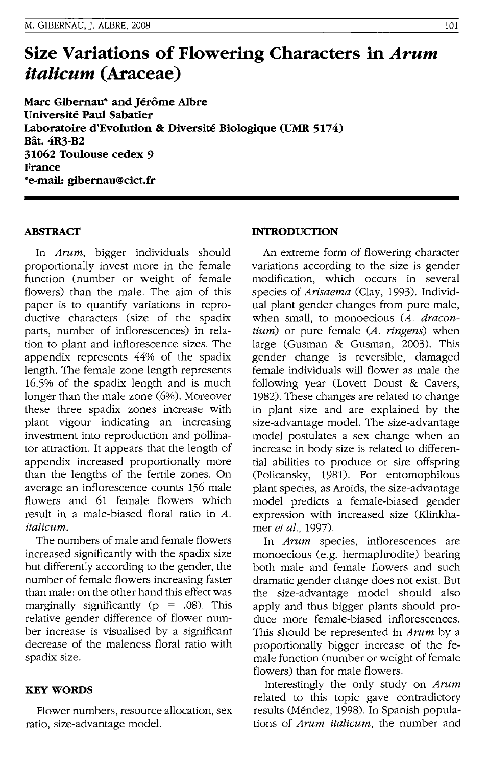# **Size Variations of Flowering Characters in** *Arum italicum* **(Araceae)**

**Marc Gibernau· and Jerome Albre Universite Paul Sabatier Laboratoire d'Evolution & Diversite Biologique (UMR 5174) Bat.4R3-B2 31062 Toulouse cedex** 9 **France**  \*e-mail: **gibernau@cict.fr** 

# **ABSTRACT**

In Arum, bigger individuals should proportionally invest more in the female function (number or weight of female flowers) than the male. The aim of this paper is to quantify variations in reproductive characters (size of the spadix parts, number of inflorescences) in relation to plant and inflorescence sizes. The appendix represents 44% of the spadix length. The female zone length represents 16.5% of the spadix length and is much longer than the male zone (6%). Moreover these three spadix zones increase with plant vigour indicating an increasing investment into reproduction and pollinator attraction. It appears that the length of appendix increased proportionally more than the lengths of the fertile zones. On average an inflorescence counts 156 male flowers and 61 female flowers which result in a male-biased floral ratio in *A.*  italicum.

The numbers of male and female flowers increased significantly with the spadix size but differently according to the gender, the number of female flowers increasing faster than male: on the other hand this effect was marginally significantly ( $p = .08$ ). This relative gender difference of flower number increase is visualised by a significant decrease of the maleness floral ratio with spadix size.

# **KEYWORDS**

Flower numbers, resource allocation, sex ratio, size-advantage model.

# **INTRODUCTION**

An extreme form of flowering character variations according to the size is gender modification, which occurs in several species of Arisaema (Clay, 1993). Individual plant gender changes from pure male, when small, to monoecious (A. dracon $tium$ ) or pure female  $(A. ringens)$  when large (Gusman & Gusman, 2003). This gender change is reversible, damaged female individuals will flower as male the following year (Lovett Doust & Cavers, 1982). These changes are related to change in plant size and are explained by the size-advantage model. The size-advantage model postulates a sex change when an increase in body size is related to differential abilities to produce or sire offspring (Policansky, 1981). For entomophilous plant species, as Aroids, the size-advantage model predicts a female-biased gender expression with increased size (Klinkhamer et al., 1997).

In Arum species, inflorescences are monoecious (e.g. hermaphrodite) bearing both male and female flowers and such dramatic gender change does not exist. But the size-advantage model should also apply and thus bigger plants should produce more female-biased inflorescences. This should be represented in Arum by a proportionally bigger increase of the female function (number or weight of female flowers) than for male flowers.

Interestingly the only study on Arum related to this topic gave contradictory results (Mendez, 1998). In Spanish populations of *Arum italicum*, the number and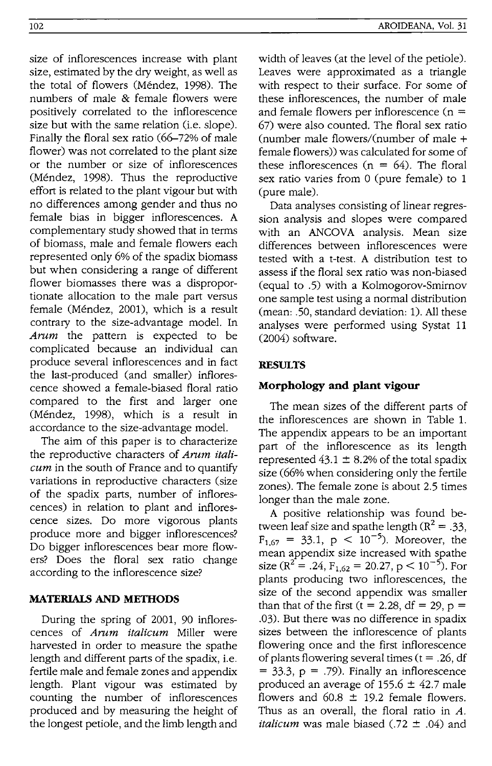size of inflorescences increase with plant size, estimated by the dry weight, as well as the total of flowers (Mendez, 1998). The width of leaves (at the level of the petiole). Leaves were approximated as a triangle with respect to their surface. For some of these inflorescences, the number of male and female flowers per inflorescence  $(n =$ 67) were also counted. The floral sex ratio (number male flowers/(number of male + female flowers» was calculated for some of these inflorescences  $(n = 64)$ . The floral sex ratio varies from 0 (pure female) to 1 (pure male).

Data analyses consisting of linear regression analysis and slopes were compared with an ANCOVA analysis. Mean size differences between inflorescences were tested with a t-test. A distribution test to assess if the floral sex ratio was non-biased (equal to .5) with a Kolmogorov-Smirnov one sample test using a normal distribution (mean: .50, standard deviation: 1). All these analyses were performed using Systat 11 (2004) software.

# **RESULTS**

### **Morphology and plant vigour**

The mean sizes of the different parts of the inflorescences are shown in Table l. The appendix appears to be an important part of the inflorescence as its length represented  $43.1 \pm 8.2\%$  of the total spadix size (66% when considering only the fertile zones). The female zone is about 2.5 times longer than the male zone.

A positive relationship was found between leaf size and spathe length ( $R^2 = .33$ ,  $F_{1.67} = 33.1, p < 10^{-5}$ ). Moreover, the mean appendix size increased with spathe size ( $R^2$  = .24,  $F_{1,62}$  = 20.27,  $p < 10^{-5}$ ). For plants producing two inflorescences, the size of the second appendix was smaller than that of the first  $(t = 2.28, df = 29, p =$ .03). But there was no difference in spadix sizes between the inflorescence of plants flowering once and the first inflorescence of plants flowering several times ( $t = .26$ , df  $=$  33.3,  $p = .79$ ). Finally an inflorescence produced an average of  $155.6 \pm 42.7$  male flowers and  $60.8 \pm 19.2$  female flowers. Thus as an overall, the floral ratio in *A. italicum* was male biased (.72 ± .04) and

# numbers of male & female flowers were positively correlated to the inflorescence size but with the same relation (*i.e.* slope). Finally the floral sex ratio (66-72% of male flower) was not correlated to the plant size or the number or size of inflorescences (Méndez, 1998). Thus the reproductive effort is related to the plant vigour but with no differences among gender and thus no female bias in bigger inflorescences. A complementary study showed that in terms of biomass, male and female flowers each represented only 6% of the spadix biomass but when considering a range of different flower biomasses there was a disproportionate allocation to the male part versus female (Mendez, 2001), which is a result contrary to the size-advantage model. In *Arum* the pattern is expected to be complicated because an individual can produce several inflorescences and in fact the last-produced (and smaller) inflorescence showed a female-biased floral ratio compared to the first and larger one (Mendez, 1998), which is a result in accordance to the size-advantage model.

The aim of this paper is to characterize the reproductive characters of *Arum italicum* in the south of France and to quantify variations in reproductive characters (size of the spadix parts, number of inflorescences) in relation to plant and inflorescence sizes. Do more vigorous plants produce more and bigger inflorescences? Do bigger inflorescences bear more flowers? Does the floral sex ratio change according to the inflorescence size?

# **MATERIAlS AND METHODS**

During the spring of 2001, 90 inflorescences of *Arum italicum* Miller were harvested in order to measure the spathe length and different parts of the spadix, i.e. fertile male and female zones and appendix length. Plant vigour was estimated by counting the number of inflorescences produced and by measuring the height of the longest petiole, and the limb length and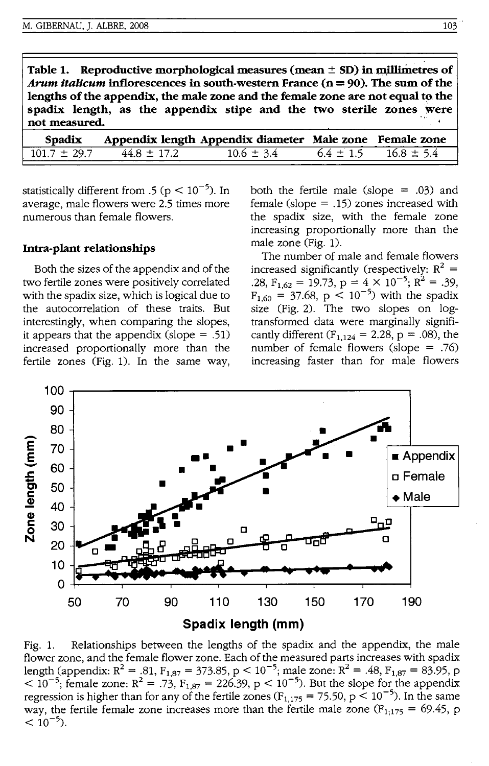**Table 1.** Reproductive morphological measures (mean  $\pm$  SD) in millimetres of *Arum italicum* **inflorescences in south-western France(n = 90). The sum** of the lengths of the appendix, the male zone and the female zone are not equal to the spadix length, as the appendix stipe and the two sterile zones were not measured.

| Spadix           |                 | Appendix length Appendix diameter Male zone Female zone |               |                |
|------------------|-----------------|---------------------------------------------------------|---------------|----------------|
| $101.7 \pm 29.7$ | $44.8 \pm 17.2$ | $10.6 \pm 3.4$                                          | $6.4 \pm 1.5$ | $16.8 \pm 5.4$ |

statistically different from .5 ( $p < 10^{-5}$ ). In average, male flowers were 2.5 times more numerous than female flowers.

#### **Intra-plant relationships**

Both the sizes of the appendix and of the two fertile zones were positively correlated with the spadix size, which is logical due to the autocorrelation of these traits. But interestingly, when comparing the slopes, it appears that the appendix (slope  $= .51$ ) increased proportionally more than the fertile zones (Fig. 1). In the same way, both the fertile male (slope  $= .03$ ) and female (slope  $=$  .15) zones increased with the spadix size, with the female zone increasing proportionally more than the male zone (Fig. 1).

The number of male and female flowers increased significantly (respectively:  $R^2 =$ .28,  $F_{1,62} = 19.73$ ,  $p = 4 \times 10^{-5}$ ;  $R^2 = .39$ ,  $F_{1,60} = 37.68$ ,  $p < 10^{-5}$ ) with the spadix size (Fig. 2). The two slopes on logtransformed data were marginally significantly different ( $F_{1,124} = 2.28$ ,  $p = .08$ ), the number of female flowers (slope = .76) increasing faster than for male flowers



Fig. 1. Relationships between the lengths of the spadix and the appendix, the male flower zone, and the female flower zone. Each of the measured parts increases with spadix length (appendix:  $R^2 = .81$ ,  $F_{1,87} = 373.85$ ,  $p < 10^{-5}$ ; male zone:  $R^2 = .48$ ,  $F_{1,87} = 83.95$ , p  $< 10^{-5}$ ; female zone: R<sup>2</sup> = .73, F<sub>1,87</sub> = 226.39, p < 10<sup>-5</sup>). But the slope for the appendix regression is higher than for any of the fertile zones ( $F_{1,175}$  = 75.50, p < 10<sup>-5</sup>). In the same way, the fertile female zone increases more than the fertile male zone  $(F_{1,175} = 69.45, p$  $< 10^{-5}$ ).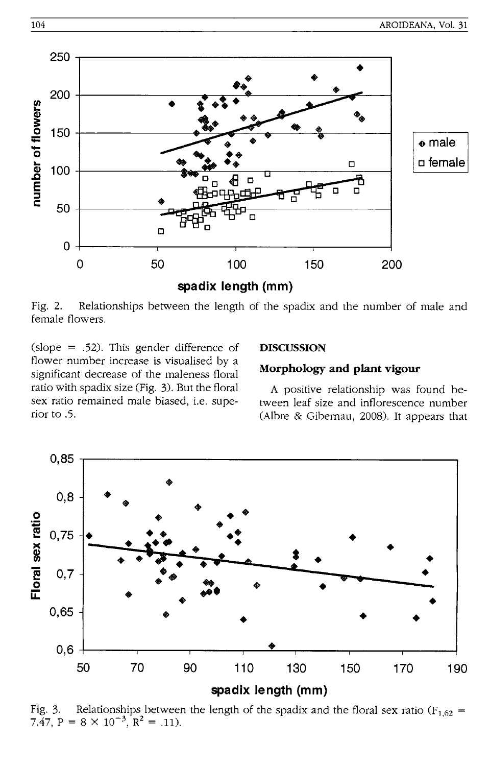

Fig. 2. Relationships between the length of the spadix and the number of male and female flowers.

(slope = .52). This gender difference of flower number increase is visualised by a significant decrease of the maleness floral ratio with spadix size (Fig. 3). But the floral sex ratio remained male biased, i.e. superior to .5.

#### **DISCUSSION**

# Morphology and plant vigour

A positive relationship was found between leaf size and inflorescence number (Albre & Gibernau, 2008). It appears that



Relationships between the length of the spadix and the floral sex ratio ( $F_{1,62}$  = Fig. 3. 7.47,  $P = 8 \times 10^{-3}$ ,  $R^2 = .11$ ).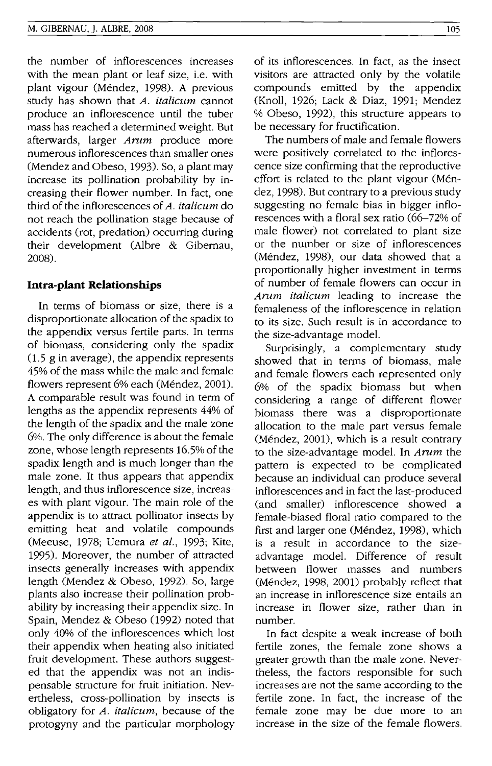the number of inflorescences increases with the mean plant or leaf size, i.e. with plant vigour (Méndez, 1998). A previous study has shown that A. *italicum* cannot produce an inflorescence until the tuber mass has reached a determined weight. But afterwards, larger *Arum* produce more numerous inflorescences than smaller ones (Mendez and Obeso, 1993). So, a plant may increase its pollination probability by increasing their flower number. In fact, one third of the inflorescences of *A. italicum* do not reach the pollination stage because of accidents (rot, predation) occurring during their development (Albre & Gibernau, 2008).

#### **Intra-plant Relationships**

In terms of biomass or size, there is a disproportionate allocation of the spadix to the appendix versus fertile parts. In terms of biomass, considering only the spadix (1.5 g in average), the appendix represents 45% of the mass while the male and female flowers represent 6% each (Méndez, 2001). A comparable result was found in term of lengths as the appendix represents 44% of the length of the spadix and the male zone 6%. The only difference is about the female zone, whose length represents 16.5% of the spadix length and is much longer than the male zone. It thus appears that appendix length, and thus inflorescence size, increases with plant vigour. The main role of the appendix is to attract pollinator insects by emitting heat and volatile compounds (Meeuse, 1978; Uemura et al., 1993; Kite, 1995). Moreover, the number of attracted insects generally increases with appendix length (Mendez & Obeso, 1992). So, large plants also increase their pollination probability by increasing their appendix size. In Spain, Mendez & Obeso (1992) noted that only 40% of the inflorescences which lost their appendix when heating also initiated fruit development. These authors suggested that the appendix was not an indispensable structure for fruit initiation. Nevertheless, cross-pollination by insects is obligatory for *A. italicum,* because of the protogyny and the particular morphology of its inflorescences. In fact, as the insect visitors are attracted only by the volatile compounds emitted by the appendix (Knoll, 1926; Lack & Diaz, 1991; Mendez % Obeso, 1992), this structure appears to be necessary for fructification.

The numbers of male and female flowers were positively correlated to the inflorescence size confirming that the reproductive effort is related to the plant vigour (Mendez, 1998). But contrary to a previous study suggesting no female bias in bigger inflorescences with a floral sex ratio (66-72% of male flower) not correlated to plant size or the number or size of inflorescences (Mendez, 1998), our data showed that a proportionally higher investment in terms of number of female flowers can occur in *Arum italicum* leading to increase the femaleness of the inflorescence in relation to its size. Such result is in accordance to the size-advantage model.

Surprisingly, a complementary study showed that in terms of biomass, male and female flowers each represented only 6% of the spadix biomass but when considering a range of different flower biomass there was a disproportionate allocation to the male part versus female (Méndez, 2001), which is a result contrary to the size-advantage model. In *Arum* the pattern is expected to be complicated because an individual can produce several inflorescences and in fact the last-produced (and smaller) inflorescence showed a female-biased floral ratio compared to the first and larger one (Méndez, 1998), which is a result in accordance to the sizeadvantage model. Difference of result between flower masses and numbers (Mendez, 1998, 2001) probably reflect that an increase in inflorescence size entails an increase in flower size, rather than in number.

In fact despite a weak increase of both fertile zones, the female zone shows a greater growth than the male zone. Nevertheless, the factors responsible for such increases are not the same according to the fertile zone. In fact, the increase of the female zone may be due more to an increase in the size of the female flowers.